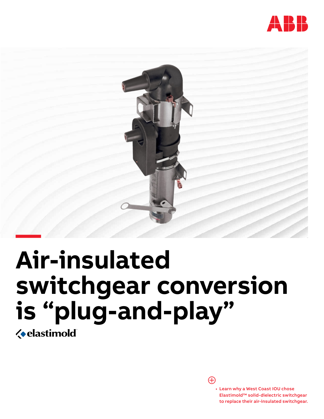



# **Air-insulated switchgear conversion is "plug-and-play"**

**« elastimold** 

Æ

• Learn why a West Coast IOU chose Elastimold™ solid-dielectric switchgear to replace their air-insulated switchgear.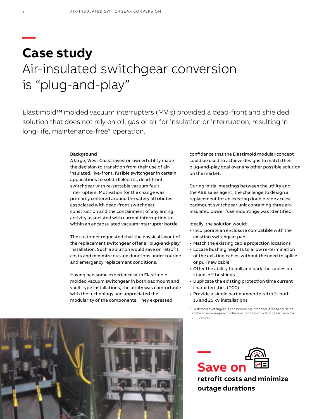## **Case study** Air-insulated switchgear conversion is "plug-and-play"

Elastimold™ molded vacuum interrupters (MVIs) provided a dead-front and shielded solution that does not rely on oil, gas or air for insulation or interruption, resulting in long-life, maintenance-free\* operation.

#### **Background**

A large, West Coast investor-owned utility made the decision to transition from their use of airinsulated, live-front, fusible switchgear in certain applications to solid-dielectric, dead-front switchgear with re-settable vacuum fault interrupters. Motivation for the change was primarily centered around the safety attributes associated with dead-front switchgear construction and the containment of any arcing activity associated with current interruption to within an encapsulated vacuum interrupter bottle.

The customer requested that the physical layout of the replacement switchgear offer a "plug-and-play" installation. Such a solution would save on retrofit costs and minimize outage durations under routine and emergency replacement conditions.

Having had some experience with Elastimold molded vacuum switchgear in both padmount and vault-type installations, the utility was comfortable with the technology and appreciated the modularity of the components. They expressed

confidence that the Elastimold modular concept could be used to achieve designs to match their plug-and-play goal over any other possible solution on the market.

During initial meetings between the utility and the ABB sales agent, the challenge to design a replacement for an existing double-side access padmount switchgear unit containing three airinsulated power fuse mountings was identified.

Ideally, the solution would:

- Incorporate an enclosure compatible with the existing switchgear pad
- Match the existing cable projection locations
- Locate bushing heights to allow re-termination of the existing cables without the need to splice or pull new cable
- Offer the ability to pull and park the cables on stand-off bushings
- Duplicate the existing protection time current characteristics (TCC)
- Provide a single part number to retrofit both 15 and 25 kV installations

\* Elastimold switchgear is considered maintenance-free because its enclosed arc-dampening chamber contains no oil or gas to monitor or maintain.



**retrofit costs and minimize outage durations**



**—**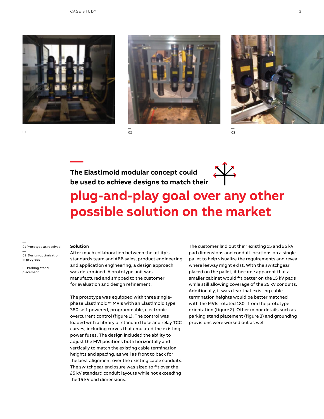





**—The Elastimold modular concept could be used to achieve designs to match their** 

02



03

### **plug-and-play goal over any other possible solution on the market**

— 01 Prototype as received — 02 Design optimization in progress — 03 Parking stand placement

### **Solution**

After much collaboration between the utility's standards team and ABB sales, product engineering and application engineering, a design approach was determined. A prototype unit was manufactured and shipped to the customer for evaluation and design refinement.

The prototype was equipped with three singlephase Elastimold™ MVIs with an Elastimold type 380 self-powered, programmable, electronic overcurrent control (figure 1). The control was loaded with a library of standard fuse and relay TCC curves, including curves that emulated the existing power fuses. The design included the ability to adjust the MVI positions both horizontally and vertically to match the existing cable termination heights and spacing, as well as front to back for the best alignment over the existing cable conduits. The switchgear enclosure was sized to fit over the 25 kV standard conduit layouts while not exceeding the 15 kV pad dimensions.

The customer laid out their existing 15 and 25 kV pad dimensions and conduit locations on a single pallet to help visualize the requirements and reveal where leeway might exist. With the switchgear placed on the pallet, it became apparent that a smaller cabinet would fit better on the 15 kV pads while still allowing coverage of the 25 kV conduits. Additionally, it was clear that existing cable termination heights would be better matched with the MVIs rotated 180° from the prototype orientation (figure 2). Other minor details such as parking stand placement (figure 3) and grounding provisions were worked out as well.